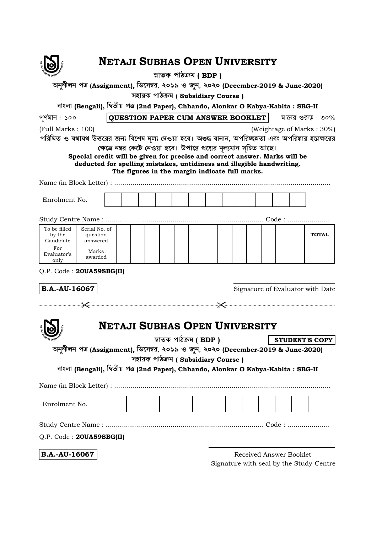

# **NETAJI SUBHAS OPEN UNIVERSITY**

স্নাতক পাঠক্ৰম ( BDP )

অনুশীলন পত্ৰ (Assignment), ডিসেম্বর, ২০১৯ ও জুন, ২০২০ (December-2019 & June-2020)

.<br>সহায়ক পাঠক্ৰম ( Subsidiary Course )

বাংলা (Bengali), দ্বিতীয় পত্ৰ (2nd Paper), Chhando, Alonkar O Kabya-Kabita: SBG-II

| পূর্ণমান : ১০০                                                                                           |                                                                                                                                                                           | QUESTION PAPER CUM ANSWER BOOKLET                                    |  |                        |  |                                                |  |                                | মানের গুরুত্ব : ৩০%              |
|----------------------------------------------------------------------------------------------------------|---------------------------------------------------------------------------------------------------------------------------------------------------------------------------|----------------------------------------------------------------------|--|------------------------|--|------------------------------------------------|--|--------------------------------|----------------------------------|
| (Full Marks: 100)                                                                                        |                                                                                                                                                                           |                                                                      |  |                        |  |                                                |  |                                | (Weightage of Marks: 30%)        |
| পরিমিত ও যথাযথ উত্তরের জন্য বিশেষ মূল্য দেওয়া হবে। অশুদ্ধ বানান, অপরিচ্ছন্নতা এবং অপরিষ্কার হস্তাক্ষরের |                                                                                                                                                                           |                                                                      |  |                        |  |                                                |  |                                |                                  |
|                                                                                                          |                                                                                                                                                                           | ক্ষেত্রে নম্বর কেটে নেওয়া হবে। উপান্তে প্রশ্নের মূল্যমান সূচিত আছে। |  |                        |  |                                                |  |                                |                                  |
|                                                                                                          | Special credit will be given for precise and correct answer. Marks will be                                                                                                |                                                                      |  |                        |  |                                                |  |                                |                                  |
|                                                                                                          | deducted for spelling mistakes, untidiness and illegible handwriting.                                                                                                     |                                                                      |  |                        |  | The figures in the margin indicate full marks. |  |                                |                                  |
|                                                                                                          |                                                                                                                                                                           |                                                                      |  |                        |  |                                                |  |                                |                                  |
| Enrolment No.                                                                                            |                                                                                                                                                                           |                                                                      |  |                        |  |                                                |  |                                |                                  |
|                                                                                                          |                                                                                                                                                                           |                                                                      |  |                        |  |                                                |  |                                |                                  |
| To be filled<br>by the<br>Candidate                                                                      | Serial No. of<br>question<br>answered                                                                                                                                     |                                                                      |  |                        |  |                                                |  |                                | <b>TOTAL</b>                     |
| For<br>Evaluator's<br>only                                                                               | Marks<br>awarded                                                                                                                                                          |                                                                      |  |                        |  |                                                |  |                                |                                  |
| Q.P. Code: 20UA59SBG(II)                                                                                 |                                                                                                                                                                           |                                                                      |  |                        |  |                                                |  |                                |                                  |
|                                                                                                          |                                                                                                                                                                           |                                                                      |  |                        |  |                                                |  |                                |                                  |
| <b>B.A.-AU-16067</b>                                                                                     |                                                                                                                                                                           |                                                                      |  |                        |  |                                                |  |                                | Signature of Evaluator with Date |
|                                                                                                          |                                                                                                                                                                           |                                                                      |  |                        |  |                                                |  |                                |                                  |
|                                                                                                          |                                                                                                                                                                           | <b>NETAJI SUBHAS OPEN UNIVERSITY</b>                                 |  |                        |  |                                                |  |                                |                                  |
|                                                                                                          |                                                                                                                                                                           |                                                                      |  | স্নাতক পাঠক্ৰম ( BDP ) |  |                                                |  |                                | <b>STUDENT'S COPY</b>            |
|                                                                                                          | অনুশীলন পত্ৰ (Assignment), ডিসেম্বর, ২০১৯ ও জুন, ২০২০ (December-2019 & June-2020)<br>বাংলা (Bengali), দ্বিতীয় পত্ৰ (2nd Paper), Chhando, Alonkar O Kabya-Kabita : SBG-II |                                                                      |  |                        |  | সহায়ক পাঠক্ৰম ( Subsidiary Course )           |  |                                |                                  |
|                                                                                                          |                                                                                                                                                                           |                                                                      |  |                        |  |                                                |  |                                |                                  |
| Enrolment No.                                                                                            |                                                                                                                                                                           |                                                                      |  |                        |  |                                                |  |                                |                                  |
|                                                                                                          |                                                                                                                                                                           |                                                                      |  |                        |  |                                                |  |                                |                                  |
| Q.P. Code: 20UA59SBG(II)                                                                                 |                                                                                                                                                                           |                                                                      |  |                        |  |                                                |  |                                |                                  |
| B.A.-AU-16067                                                                                            |                                                                                                                                                                           |                                                                      |  |                        |  |                                                |  | <b>Received Answer Booklet</b> |                                  |

Signature with seal by the Study-Centre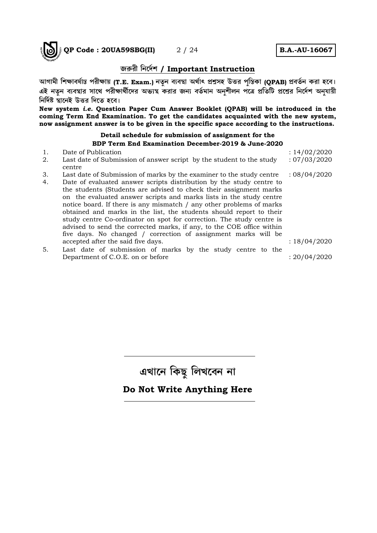

**QP Code : 20UA59SBG(II)** 2 / 24 **B.A.-AU-16067** 

### জরুরী নির্দেশ / Important Instruction

আগামী শিক্ষাবৰ্ষান্ত পরীক্ষায় (T.E. Exam.) নতুন ব্যবস্থা অর্থাৎ প্রশ্নসহ উত্তর পুস্তিকা (QPAB) প্রবর্তন করা হবে। এই নত্ন ব্যবস্থার সাথে পরীক্ষার্থীদের অভ্যস্থ করার জন্য বর্তমান অনুশীলন পত্রে প্রতিটি প্রশ্নের নির্দেশ অন্যায়ী  $\widehat{M}$ র্দিষ্ট শ্বানেই উত্তর দিতে হবে।

**New system** *i.e.* **Question Paper Cum Answer Booklet (QPAB) will be introduced in the coming Term End Examination. To get the candidates acquainted with the new system, now assignment answer is to be given in the specific space according to the instructions.** 

#### **Detail schedule for submission of assignment for the**

#### **BDP Term End Examination December-2019 & June-2020**

1. Date of Publication : 14/02/2020 2. Last date of Submission of answer script by the student to the study centre : 07/03/2020 3. Last date of Submission of marks by the examiner to the study centre : 08/04/2020 4. Date of evaluated answer scripts distribution by the study centre to the students (Students are advised to check their assignment marks on the evaluated answer scripts and marks lists in the study centre notice board. If there is any mismatch / any other problems of marks obtained and marks in the list, the students should report to their study centre Co-ordinator on spot for correction. The study centre is advised to send the corrected marks, if any, to the COE office within five days. No changed / correction of assignment marks will be accepted after the said five days.  $\frac{18}{09}$  : 18/04/2020 5. Last date of submission of marks by the study centre to the Department of C.O.E. on or before  $\cdot$  20/04/2020

এখানে কিছু লিখবেন না

## **Do Not Write Anything Here**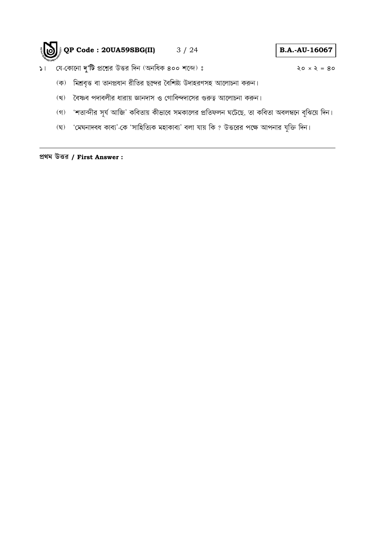

1\* Â^-ÂEıÁ"XÁ **V«'◊ªRÙO** Y"‰`¬Ã[˝ =w¯Ã[˝ ◊VX (%X◊W˝Eı 400 `"å) f 20 <sup>×</sup>2 <sup>=</sup> 40

- (ক) মিশ্রবৃত্ত বা তানপ্রধান রীতির ছন্দের বৈশিষ্ট্য উদাহরণসহ আলোচনা করুন।
- (খ) বৈষ্ণব পদাবলীর ধারায় জ্ঞানদাস ও গোবিন্দদাসের গুরুত্ব আলোচনা করুন।
- (গ) 'শতাব্দীর সূর্য আজি' কবিতায় কীভাবে সমকালের প্রতিফলন ঘটেছে, তা কবিতা অবলম্বনে বুঝিয়ে দিন।
- (ঘ) 'মেঘনাদবধ কাব্য'-কে 'সাহিত্যিক মহাকাব্য' বলা যায় কি ? উত্তরের পক্ষে আপনার যুক্তি দিন।

*প্ৰথম উত্তর / First Answer :*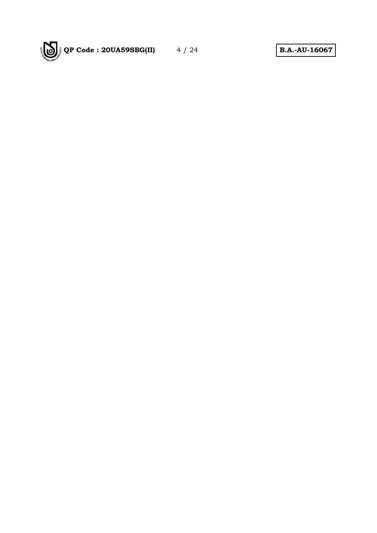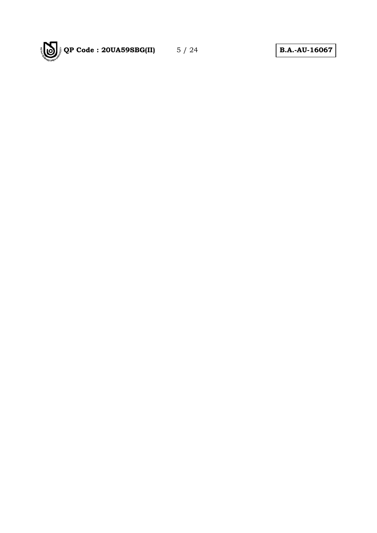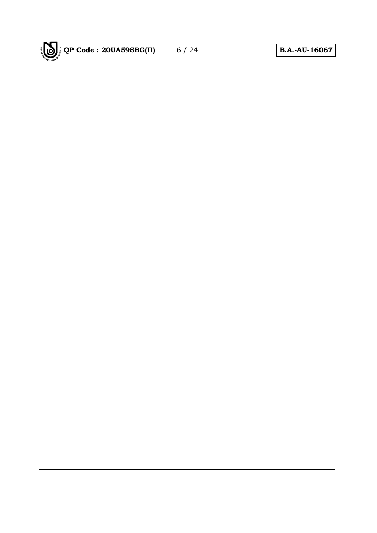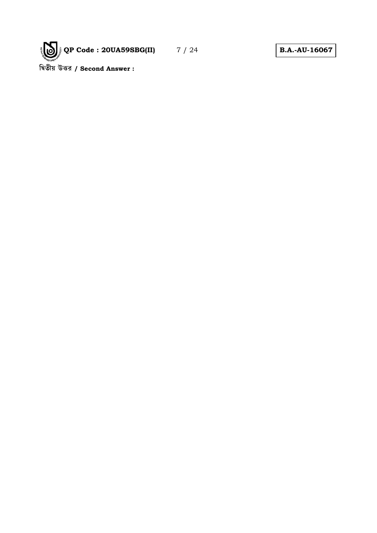

দ্বিতীয় উত্তর / Second Answer: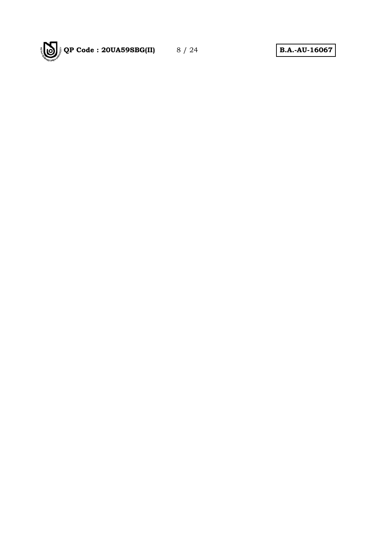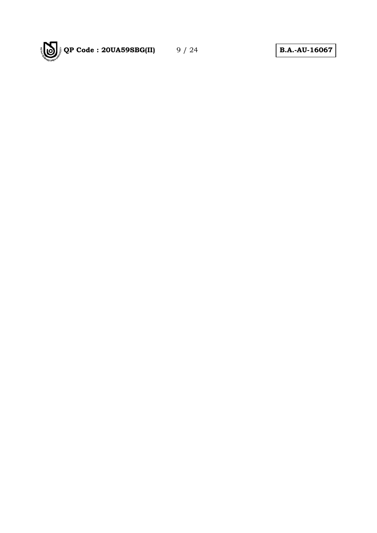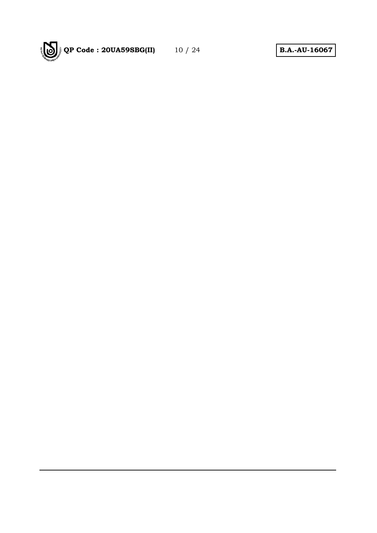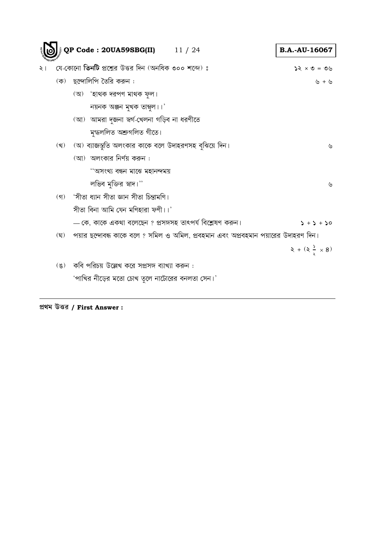|          |                | $QP Code: 20UA59SBG(II)$ 11 / 24                                                   | <b>B.A.-AU-16067</b> |
|----------|----------------|------------------------------------------------------------------------------------|----------------------|
| $\geq 1$ |                | যে-কোনো <b>তিনটি</b> প্রশ্নের উত্তর দিন (অনধিক ৩০০ শব্দে) ঃ                        | $50 = 0 \times 56$   |
|          | $(\vec{\Phi})$ | ছন্দোলিপি তৈরি করুন :                                                              | $Y + Y$              |
|          |                | (অ) 'হাথক দরপণ মাথক ফুল।                                                           |                      |
|          |                | নয়নক অঞ্জন মুখক তাম্বুল।।'                                                        |                      |
|          |                | (আ) আমরা দুজনা স্বর্গ-খেলনা গড়িব না ধরণীতে                                        |                      |
|          |                | মুগ্ধললিত অশ্ৰুগলিত গীতে।                                                          |                      |
|          | (খ্)           | (অ) ব্যাজস্তুতি অলংকার কাকে বলে উদাহরণসহ বুঝিয়ে দিন।                              | ৬                    |
|          |                | (আ) অলংকার নির্ণয় করুন:                                                           |                      |
|          |                | ''অসংখ্য বন্ধন মাঝে মহানন্দময়                                                     |                      |
|          |                | লভিব মুক্তির স্বাদ।"                                                               | ىل                   |
|          | (5)            | 'সীতা ধ্যান সীতা জ্ঞান সীতা চিন্তামণি।                                             |                      |
|          |                | সীতা বিনা আমি যেন মণিহারা ফণী।।'                                                   |                      |
|          |                | — কে, কাকে একথা বলেছেন ? প্রসঙ্গসহ তাৎপর্য বিশ্লেষণ করুন।                          | $5 + 5 + 50$         |
|          | $(\nabla)$     | পয়ার ছন্দোবন্ধ কাকে বলে ? সমিল ও অমিল, প্রবহমান এবং অপ্রবহমান পয়ারের উদাহরণ দিন। |                      |
|          |                |                                                                                    | $5 + (5 + 8)$        |
|          | (g)            | কবি পরিচয় উল্লেখ করে সপ্রসঙ্গ ব্যাখ্যা করুন:                                      |                      |
|          |                | 'পাখির নীড়ের মতো চোখ তুলে নাটোরের বনলতা সেন।'                                     |                      |

প্ৰথম উত্তর / First Answer :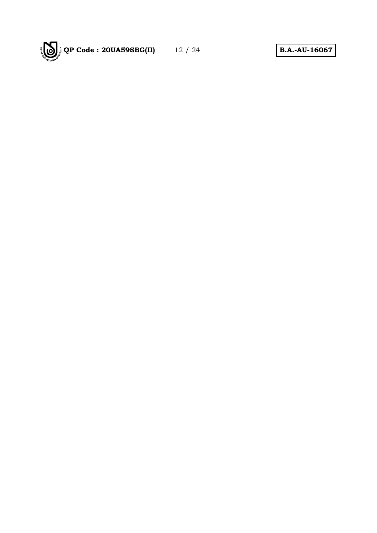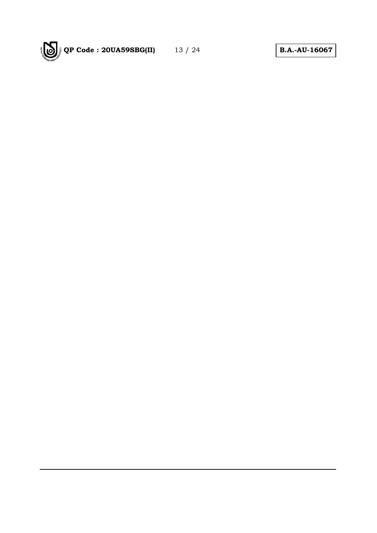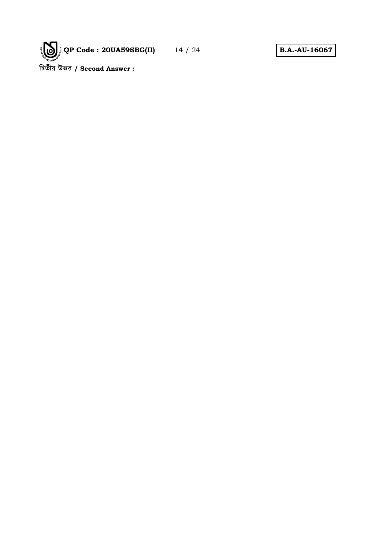

দ্বিতীয় উত্তর / Second Answer: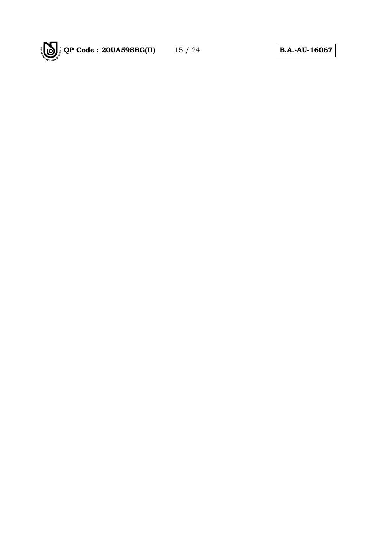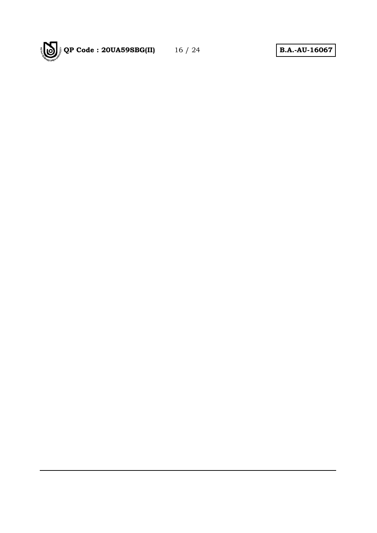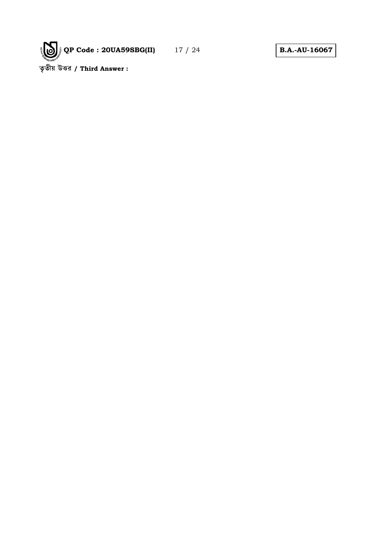

তৃতীয় উত্তর / Third Answer: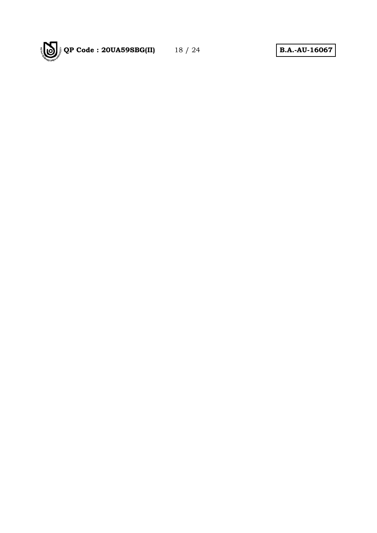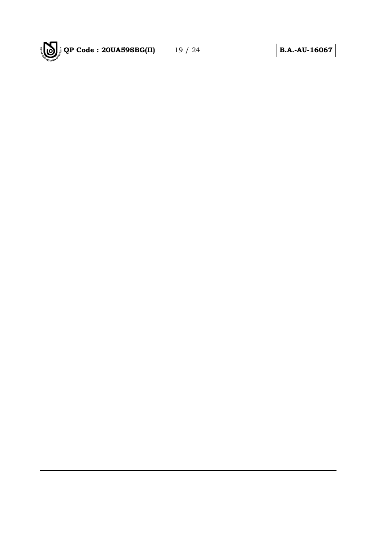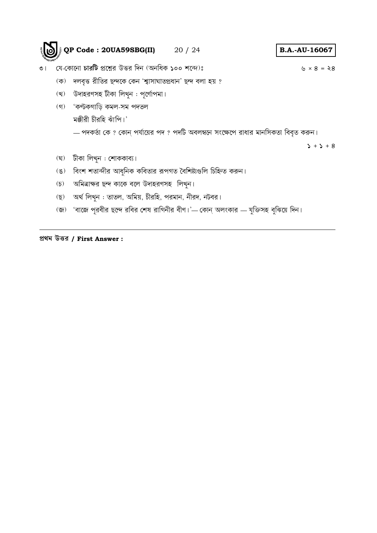

- 3\* Â^-ÂEıÁ"XÁ ª**JÙÁÃ[˝◊ªRÙO** Y"‰`¬Ã[˝ =w¯Ã[˝ ◊VX (%X◊W˝Eı 100 `"å)f 6 <sup>×</sup>4 <sup>=</sup> 24
	- (ক) দলবৃত্ত রীতির ছন্দকে কেন 'শ্বাসাঘাতপ্রধান' ছন্দ বলা হয় ?
	- (খ) উদাহরণসহ টীকা লিখুন : পূর্ণোপমা।
	- (গ) 'কণ্টকগাড়ি কমল-সম পদতল মঞ্জীরী চীরহি ঝাঁপি।' — পদর্কতা কে ? কোন্ পর্যায়ের পদ ? পদটি অবলম্বনে সংক্ষেপে রাধার মানসিকতা বিবৃত করুন।
	- $5 + 5 + 8$
	- $R(\nabla)$  টীকা লিখুন : শোককাব্য।
	- (ঙ) বিংশ শতাব্দীর আধুনিক কবিতার রূপগত বৈশিষ্ট্যগুলি চিহ্নিত করুন।
	- (b) অমিত্রাক্ষর ছন্দ কাকে বলে উদাহরণসহ লিখুন।
	- (ছ) অর্থ লিখুন: তাতল, অমিয়, চীরহি, পরমান, নীরদ, নটবর।
	- (জ) 'বাজে পূরবীর ছন্দে রবির শেষ রাগিনীর বীণ।'— কোন্ অলংকার যুক্তিসহ বুঝিয়ে দিন।

প্ৰথম উত্তর / First Answer :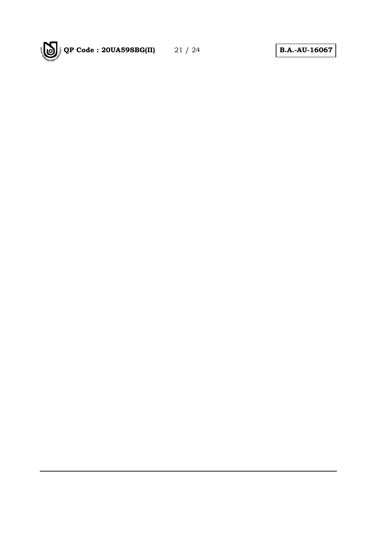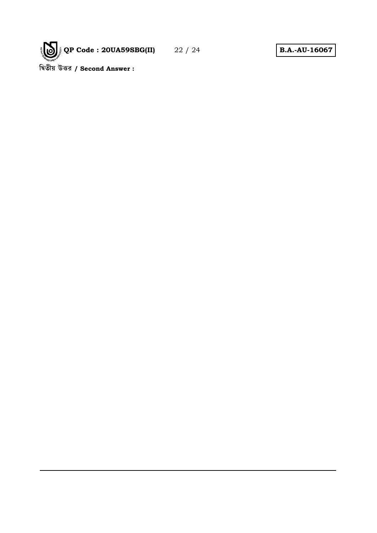

দ্বিতীয় উত্তর / Second Answer: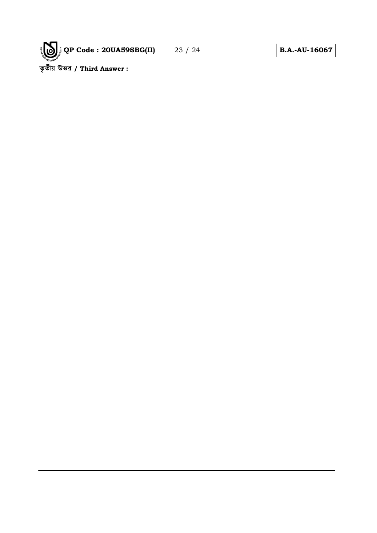

তৃতীয় উত্তর / Third Answer: